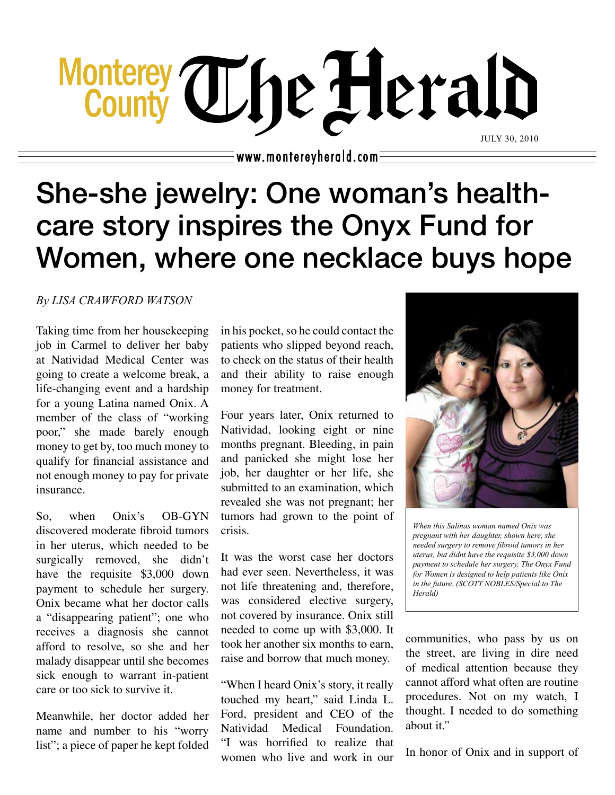# Monterey The Herald JULY 30, 2010

 $\equiv$  www.montereyherald.com $\bar{\cdot}$ 

## She-she jewelry: One woman's healthcare story inspires the Onyx Fund for Women, where one necklace buys hope

#### *By LISA CRAWFORD WATSON*

Taking time from her housekeeping job in Carmel to deliver her baby at Natividad Medical Center was going to create a welcome break, a life-changing event and a hardship for a young Latina named Onix. A member of the class of "working poor," she made barely enough money to get by, too much money to qualify for financial assistance and not enough money to pay for private insurance.

So, when Onix's OB-GYN discovered moderate fibroid tumors in her uterus, which needed to be surgically removed, she didn't have the requisite \$3,000 down payment to schedule her surgery. Onix became what her doctor calls a "disappearing patient"; one who receives a diagnosis she cannot afford to resolve, so she and her malady disappear until she becomes sick enough to warrant in-patient care or too sick to survive it.

Meanwhile, her doctor added her name and number to his "worry list"; a piece of paper he kept folded in his pocket, so he could contact the patients who slipped beyond reach, to check on the status of their health and their ability to raise enough money for treatment.

Four years later, Onix returned to Natividad, looking eight or nine months pregnant. Bleeding, in pain and panicked she might lose her job, her daughter or her life, she submitted to an examination, which revealed she was not pregnant; her tumors had grown to the point of crisis.

It was the worst case her doctors had ever seen. Nevertheless, it was not life threatening and, therefore, was considered elective surgery, not covered by insurance. Onix still needed to come up with \$3,000. It took her another six months to earn, raise and borrow that much money.

"When I heard Onix's story, it really touched my heart," said Linda L. Ford, president and CEO of the Natividad Medical Foundation. "I was horrified to realize that women who live and work in our



*When this Salinas woman named Onix was pregnant with her daughter, shown here, she needed surgery to remove fibroid tumors in her uterus, but didnt have the requisite \$3,000 down payment to schedule her surgery. The Onyx Fund for Women is designed to help patients like Onix in the future. (SCOTT NOBLES/Special to The Herald)*

communities, who pass by us on the street, are living in dire need of medical attention because they cannot afford what often are routine procedures. Not on my watch, I thought. I needed to do something about it."

In honor of Onix and in support of